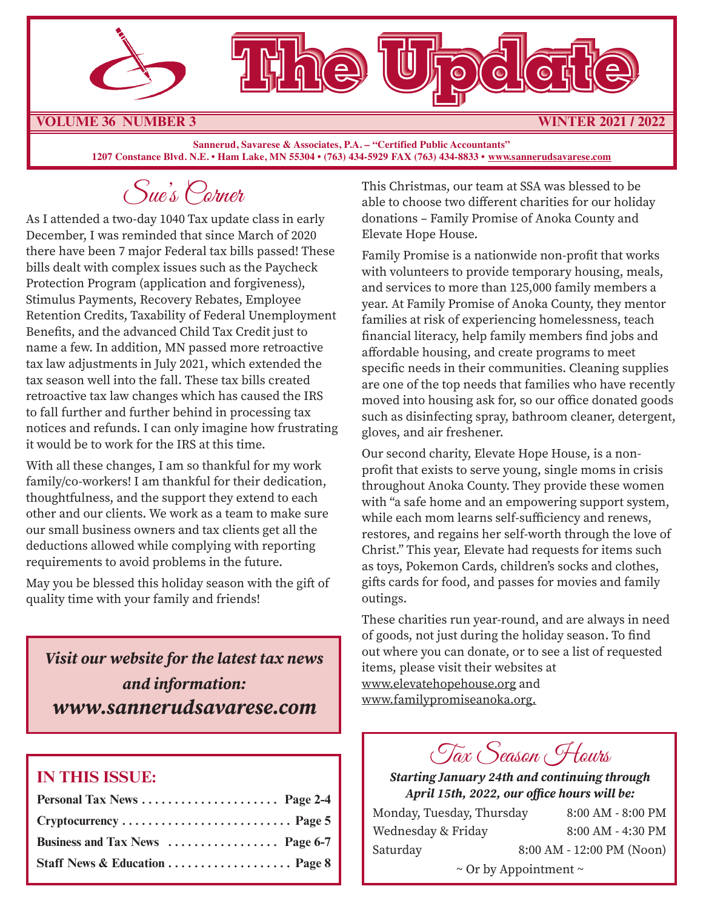



**VOLUME 36 NUMBER 3 WINTER 2021 / 2022**

**Sannerud, Savarese & Associates, P.A. – "Certified Public Accountants" 1207 Constance Blvd. N.E. • Ham Lake, MN 55304 • (763) 434-5929 FAX (763) 434-8833 • www.sannerudsavarese.com**

Sue's Corner

As I attended a two-day 1040 Tax update class in early December, I was reminded that since March of 2020 there have been 7 major Federal tax bills passed! These bills dealt with complex issues such as the Paycheck Protection Program (application and forgiveness), Stimulus Payments, Recovery Rebates, Employee Retention Credits, Taxability of Federal Unemployment Benefits, and the advanced Child Tax Credit just to name a few. In addition, MN passed more retroactive tax law adjustments in July 2021, which extended the tax season well into the fall. These tax bills created retroactive tax law changes which has caused the IRS to fall further and further behind in processing tax notices and refunds. I can only imagine how frustrating it would be to work for the IRS at this time.

With all these changes, I am so thankful for my work family/co-workers! I am thankful for their dedication, thoughtfulness, and the support they extend to each other and our clients. We work as a team to make sure our small business owners and tax clients get all the deductions allowed while complying with reporting requirements to avoid problems in the future.

May you be blessed this holiday season with the gift of quality time with your family and friends!

*Visit our website for the latest tax news and information: www.sannerudsavarese.com*

#### **IN THIS ISSUE:**

| Personal Tax News  Page 2-4                                                            |  |
|----------------------------------------------------------------------------------------|--|
| $Cryptocurrency \ldots \ldots \ldots \ldots \ldots \ldots \ldots \ldots \ldots$ Page 5 |  |
| Business and Tax News  Page 6-7                                                        |  |
| Staff News & Education  Page 8                                                         |  |

This Christmas, our team at SSA was blessed to be able to choose two different charities for our holiday donations – Family Promise of Anoka County and Elevate Hope House.

Family Promise is a nationwide non-profit that works with volunteers to provide temporary housing, meals, and services to more than 125,000 family members a year. At Family Promise of Anoka County, they mentor families at risk of experiencing homelessness, teach financial literacy, help family members find jobs and affordable housing, and create programs to meet specific needs in their communities. Cleaning supplies are one of the top needs that families who have recently moved into housing ask for, so our office donated goods such as disinfecting spray, bathroom cleaner, detergent, gloves, and air freshener.

Our second charity, Elevate Hope House, is a nonprofit that exists to serve young, single moms in crisis throughout Anoka County. They provide these women with "a safe home and an empowering support system, while each mom learns self-sufficiency and renews, restores, and regains her self-worth through the love of Christ." This year, Elevate had requests for items such as toys, Pokemon Cards, children's socks and clothes, gifts cards for food, and passes for movies and family outings.

These charities run year-round, and are always in need of goods, not just during the holiday season. To find out where you can donate, or to see a list of requested items, please visit their websites at www.elevatehopehouse.org and www.familypromiseanoka.org.

Tax Season Hours

*Starting January 24th and continuing through April 15th, 2022, our office hours will be:*

| Monday, Tuesday, Thursday | 8:00 AM - 8:00 PM               |
|---------------------------|---------------------------------|
| Wednesday & Friday        | 8:00 AM - 4:30 PM               |
| Saturday                  | 8:00 AM - 12:00 PM (Noon)       |
|                           | $\sim$ Or by Appointment $\sim$ |

1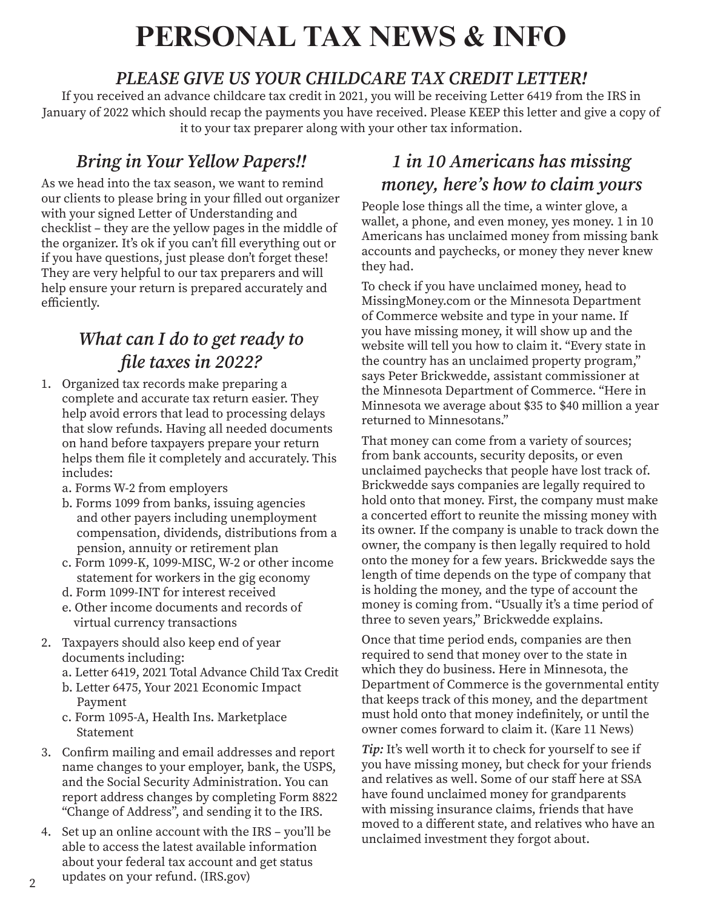## **PERSONAL TAX NEWS & INFO**

#### *PLEASE GIVE US YOUR CHILDCARE TAX CREDIT LETTER!*

If you received an advance childcare tax credit in 2021, you will be receiving Letter 6419 from the IRS in January of 2022 which should recap the payments you have received. Please KEEP this letter and give a copy of it to your tax preparer along with your other tax information.

### *Bring in Your Yellow Papers!!*

As we head into the tax season, we want to remind our clients to please bring in your filled out organizer with your signed Letter of Understanding and checklist – they are the yellow pages in the middle of the organizer. It's ok if you can't fill everything out or if you have questions, just please don't forget these! They are very helpful to our tax preparers and will help ensure your return is prepared accurately and efficiently.

### *What can I do to get ready to file taxes in 2022?*

- 1. Organized tax records make preparing a complete and accurate tax return easier. They help avoid errors that lead to processing delays that slow refunds. Having all needed documents on hand before taxpayers prepare your return helps them file it completely and accurately. This includes:
	- a. Forms W-2 from employers
	- b. Forms 1099 from banks, issuing agencies and other payers including unemployment compensation, dividends, distributions from a pension, annuity or retirement plan
	- c. Form 1099-K, 1099-MISC, W-2 or other income statement for workers in the gig economy
	- d. Form 1099-INT for interest received
	- e. Other income documents and records of virtual currency transactions
- 2. Taxpayers should also keep end of year documents including:
	- a. Letter 6419, 2021 Total Advance Child Tax Credit
	- b. Letter 6475, Your 2021 Economic Impact Payment
	- c. Form 1095-A, Health Ins. Marketplace Statement
- 3. Confirm mailing and email addresses and report name changes to your employer, bank, the USPS, and the Social Security Administration. You can report address changes by completing Form 8822 "Change of Address", and sending it to the IRS.
- 4. Set up an online account with the IRS you'll be able to access the latest available information about your federal tax account and get status updates on your refund. (IRS.gov)

### *1 in 10 Americans has missing money, here's how to claim yours*

People lose things all the time, a winter glove, a wallet, a phone, and even money, yes money. 1 in 10 Americans has unclaimed money from missing bank accounts and paychecks, or money they never knew they had.

To check if you have unclaimed money, head to MissingMoney.com or the Minnesota Department of Commerce website and type in your name. If you have missing money, it will show up and the website will tell you how to claim it. "Every state in the country has an unclaimed property program," says Peter Brickwedde, assistant commissioner at the Minnesota Department of Commerce. "Here in Minnesota we average about \$35 to \$40 million a year returned to Minnesotans."

That money can come from a variety of sources; from bank accounts, security deposits, or even unclaimed paychecks that people have lost track of. Brickwedde says companies are legally required to hold onto that money. First, the company must make a concerted effort to reunite the missing money with its owner. If the company is unable to track down the owner, the company is then legally required to hold onto the money for a few years. Brickwedde says the length of time depends on the type of company that is holding the money, and the type of account the money is coming from. "Usually it's a time period of three to seven years," Brickwedde explains.

Once that time period ends, companies are then required to send that money over to the state in which they do business. Here in Minnesota, the Department of Commerce is the governmental entity that keeps track of this money, and the department must hold onto that money indefinitely, or until the owner comes forward to claim it. (Kare 11 News)

*Tip:* It's well worth it to check for yourself to see if you have missing money, but check for your friends and relatives as well. Some of our staff here at SSA have found unclaimed money for grandparents with missing insurance claims, friends that have moved to a different state, and relatives who have an unclaimed investment they forgot about.

 $\mathfrak{p}$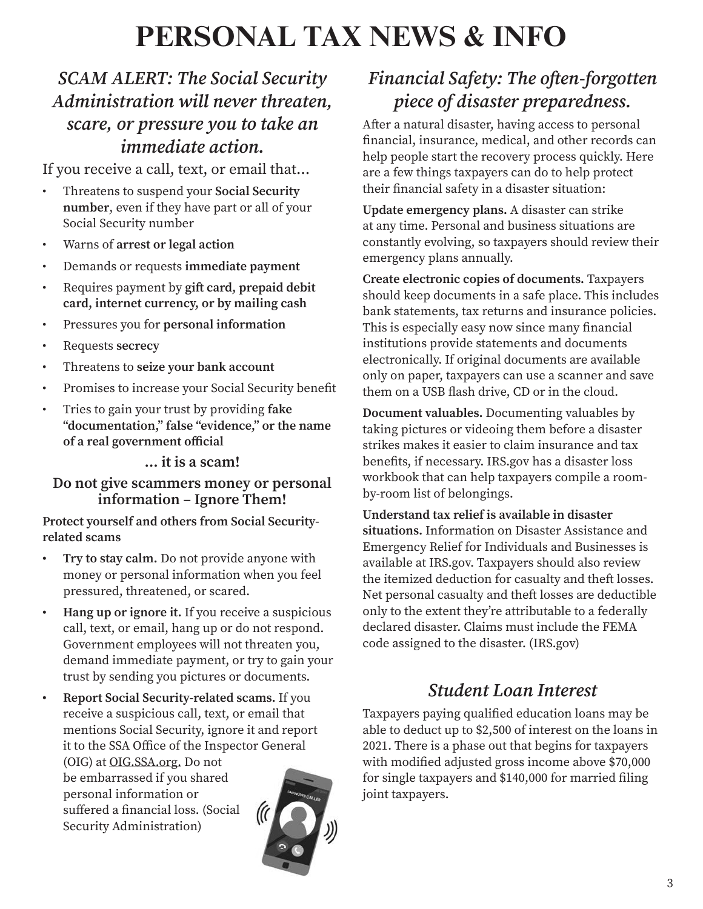## **PERSONAL TAX NEWS & INFO**

### *SCAM ALERT: The Social Security Administration will never threaten, scare, or pressure you to take an immediate action.*

If you receive a call, text, or email that…

- Threatens to suspend your **Social Security number**, even if they have part or all of your Social Security number
- Warns of **arrest or legal action**
- Demands or requests **immediate payment**
- Requires payment by **gift card, prepaid debit card, internet currency, or by mailing cash**
- Pressures you for **personal information**
- Requests **secrecy**
- Threatens to **seize your bank account**
- Promises to increase your Social Security benefit
- Tries to gain your trust by providing **fake "documentation," false "evidence," or the name of a real government official**

#### **… it is a scam!**

#### **Do not give scammers money or personal information – Ignore Them!**

**Protect yourself and others from Social Securityrelated scams**

- **• Try to stay calm.** Do not provide anyone with money or personal information when you feel pressured, threatened, or scared.
- **• Hang up or ignore it.** If you receive a suspicious call, text, or email, hang up or do not respond. Government employees will not threaten you, demand immediate payment, or try to gain your trust by sending you pictures or documents.
- **• Report Social Security-related scams.** If you receive a suspicious call, text, or email that mentions Social Security, ignore it and report it to the SSA Office of the Inspector General (OIG) at OIG.SSA.org. Do not be embarrassed if you shared personal information or suffered a financial loss. (Social  $\frac{1}{2}$ Security Administration)



## *Financial Safety: The often-forgotten piece of disaster preparedness.*

After a natural disaster, having access to personal financial, insurance, medical, and other records can help people start the recovery process quickly. Here are a few things taxpayers can do to help protect their financial safety in a disaster situation:

**Update emergency plans.** A disaster can strike at any time. Personal and business situations are constantly evolving, so taxpayers should review their emergency plans annually.

**Create electronic copies of documents.** Taxpayers should keep documents in a safe place. This includes bank statements, tax returns and insurance policies. This is especially easy now since many financial institutions provide statements and documents electronically. If original documents are available only on paper, taxpayers can use a scanner and save them on a USB flash drive, CD or in the cloud.

**Document valuables.** Documenting valuables by taking pictures or videoing them before a disaster strikes makes it easier to claim insurance and tax benefits, if necessary. IRS.gov has a disaster loss workbook that can help taxpayers compile a roomby-room list of belongings.

**Understand tax relief is available in disaster situations.** Information on Disaster Assistance and Emergency Relief for Individuals and Businesses is available at IRS.gov. Taxpayers should also review the itemized deduction for casualty and theft losses. Net personal casualty and theft losses are deductible only to the extent they're attributable to a federally declared disaster. Claims must include the FEMA code assigned to the disaster. (IRS.gov)

#### *Student Loan Interest*

Taxpayers paying qualified education loans may be able to deduct up to \$2,500 of interest on the loans in 2021. There is a phase out that begins for taxpayers with modified adjusted gross income above \$70,000 for single taxpayers and \$140,000 for married filing joint taxpayers.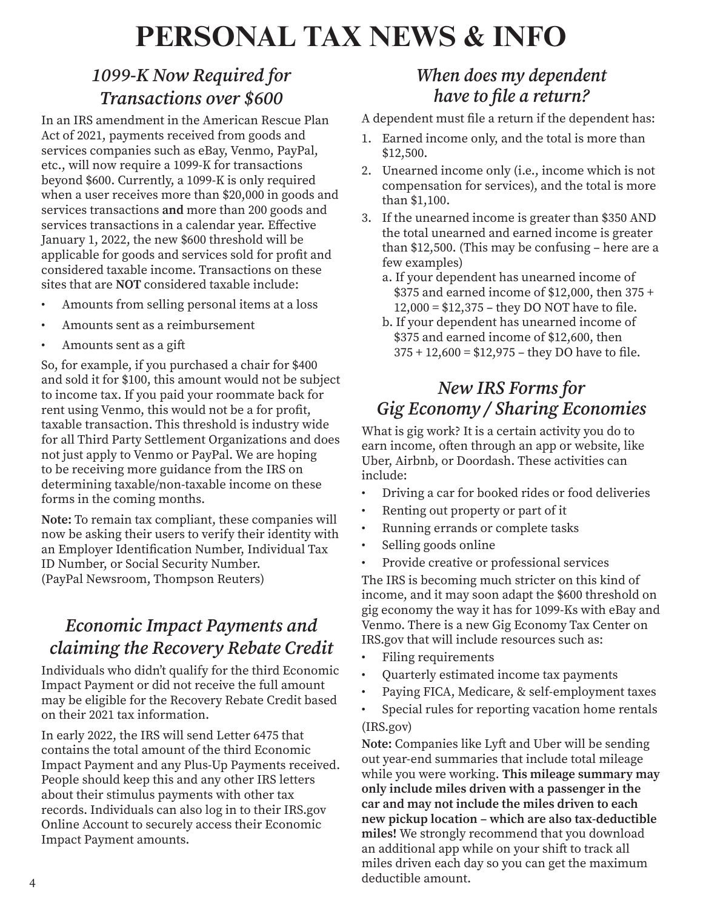## **PERSONAL TAX NEWS & INFO**

### *1099-K Now Required for Transactions over \$600*

In an IRS amendment in the American Rescue Plan Act of 2021, payments received from goods and services companies such as eBay, Venmo, PayPal, etc., will now require a 1099-K for transactions beyond \$600. Currently, a 1099-K is only required when a user receives more than \$20,000 in goods and services transactions **and** more than 200 goods and services transactions in a calendar year. Effective January 1, 2022, the new \$600 threshold will be applicable for goods and services sold for profit and considered taxable income. Transactions on these sites that are **NOT** considered taxable include:

- Amounts from selling personal items at a loss
- Amounts sent as a reimbursement
- Amounts sent as a gift

So, for example, if you purchased a chair for \$400 and sold it for \$100, this amount would not be subject to income tax. If you paid your roommate back for rent using Venmo, this would not be a for profit, taxable transaction. This threshold is industry wide for all Third Party Settlement Organizations and does not just apply to Venmo or PayPal. We are hoping to be receiving more guidance from the IRS on determining taxable/non-taxable income on these forms in the coming months.

**Note:** To remain tax compliant, these companies will now be asking their users to verify their identity with an Employer Identification Number, Individual Tax ID Number, or Social Security Number. (PayPal Newsroom, Thompson Reuters)

#### *Economic Impact Payments and claiming the Recovery Rebate Credit*

Individuals who didn't qualify for the third Economic Impact Payment or did not receive the full amount may be eligible for the Recovery Rebate Credit based on their 2021 tax information.

In early 2022, the IRS will send Letter 6475 that contains the total amount of the third Economic Impact Payment and any Plus-Up Payments received. People should keep this and any other IRS letters about their stimulus payments with other tax records. Individuals can also log in to their IRS.gov Online Account to securely access their Economic Impact Payment amounts.

#### *When does my dependent have to file a return?*

A dependent must file a return if the dependent has:

- 1. Earned income only, and the total is more than \$12,500.
- 2. Unearned income only (i.e., income which is not compensation for services), and the total is more than \$1,100.
- 3. If the unearned income is greater than \$350 AND the total unearned and earned income is greater than \$12,500. (This may be confusing – here are a few examples)
	- a. If your dependent has unearned income of \$375 and earned income of \$12,000, then 375 + 12,000 = \$12,375 – they DO NOT have to file.
	- b. If your dependent has unearned income of \$375 and earned income of \$12,600, then  $375 + 12,600 = $12,975 - they DO have to file.$

### *New IRS Forms for Gig Economy / Sharing Economies*

What is gig work? It is a certain activity you do to earn income, often through an app or website, like Uber, Airbnb, or Doordash. These activities can include:

- Driving a car for booked rides or food deliveries
- Renting out property or part of it
- Running errands or complete tasks
- Selling goods online
- Provide creative or professional services

The IRS is becoming much stricter on this kind of income, and it may soon adapt the \$600 threshold on gig economy the way it has for 1099-Ks with eBay and Venmo. There is a new Gig Economy Tax Center on IRS.gov that will include resources such as:

- Filing requirements
- Quarterly estimated income tax payments
- Paying FICA, Medicare, & self-employment taxes
- Special rules for reporting vacation home rentals (IRS.gov)

**Note:** Companies like Lyft and Uber will be sending out year-end summaries that include total mileage while you were working. **This mileage summary may only include miles driven with a passenger in the car and may not include the miles driven to each new pickup location – which are also tax-deductible miles!** We strongly recommend that you download an additional app while on your shift to track all miles driven each day so you can get the maximum deductible amount.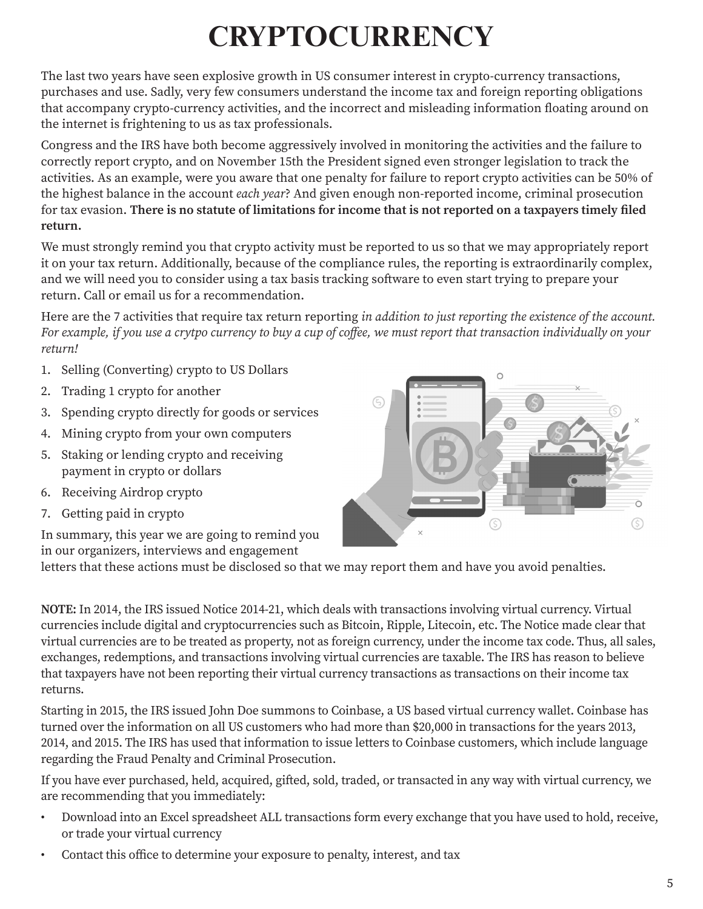# **CRYPTOCURRENCY**

The last two years have seen explosive growth in US consumer interest in crypto-currency transactions, purchases and use. Sadly, very few consumers understand the income tax and foreign reporting obligations that accompany crypto-currency activities, and the incorrect and misleading information floating around on the internet is frightening to us as tax professionals.

Congress and the IRS have both become aggressively involved in monitoring the activities and the failure to correctly report crypto, and on November 15th the President signed even stronger legislation to track the activities. As an example, were you aware that one penalty for failure to report crypto activities can be 50% of the highest balance in the account *each year*? And given enough non-reported income, criminal prosecution for tax evasion. **There is no statute of limitations for income that is not reported on a taxpayers timely filed return.**

We must strongly remind you that crypto activity must be reported to us so that we may appropriately report it on your tax return. Additionally, because of the compliance rules, the reporting is extraordinarily complex, and we will need you to consider using a tax basis tracking software to even start trying to prepare your return. Call or email us for a recommendation.

Here are the 7 activities that require tax return reporting *in addition to just reporting the existence of the account. For example, if you use a crytpo currency to buy a cup of coffee, we must report that transaction individually on your return!*

- 1. Selling (Converting) crypto to US Dollars
- 2. Trading 1 crypto for another
- 3. Spending crypto directly for goods or services
- 4. Mining crypto from your own computers
- 5. Staking or lending crypto and receiving payment in crypto or dollars
- 6. Receiving Airdrop crypto
- 7. Getting paid in crypto

In summary, this year we are going to remind you in our organizers, interviews and engagement

letters that these actions must be disclosed so that we may report them and have you avoid penalties.

**NOTE:** In 2014, the IRS issued Notice 2014-21, which deals with transactions involving virtual currency. Virtual currencies include digital and cryptocurrencies such as Bitcoin, Ripple, Litecoin, etc. The Notice made clear that virtual currencies are to be treated as property, not as foreign currency, under the income tax code. Thus, all sales, exchanges, redemptions, and transactions involving virtual currencies are taxable. The IRS has reason to believe that taxpayers have not been reporting their virtual currency transactions as transactions on their income tax returns.

Starting in 2015, the IRS issued John Doe summons to Coinbase, a US based virtual currency wallet. Coinbase has turned over the information on all US customers who had more than \$20,000 in transactions for the years 2013, 2014, and 2015. The IRS has used that information to issue letters to Coinbase customers, which include language regarding the Fraud Penalty and Criminal Prosecution.

If you have ever purchased, held, acquired, gifted, sold, traded, or transacted in any way with virtual currency, we are recommending that you immediately:

- Download into an Excel spreadsheet ALL transactions form every exchange that you have used to hold, receive, or trade your virtual currency
- Contact this office to determine your exposure to penalty, interest, and tax

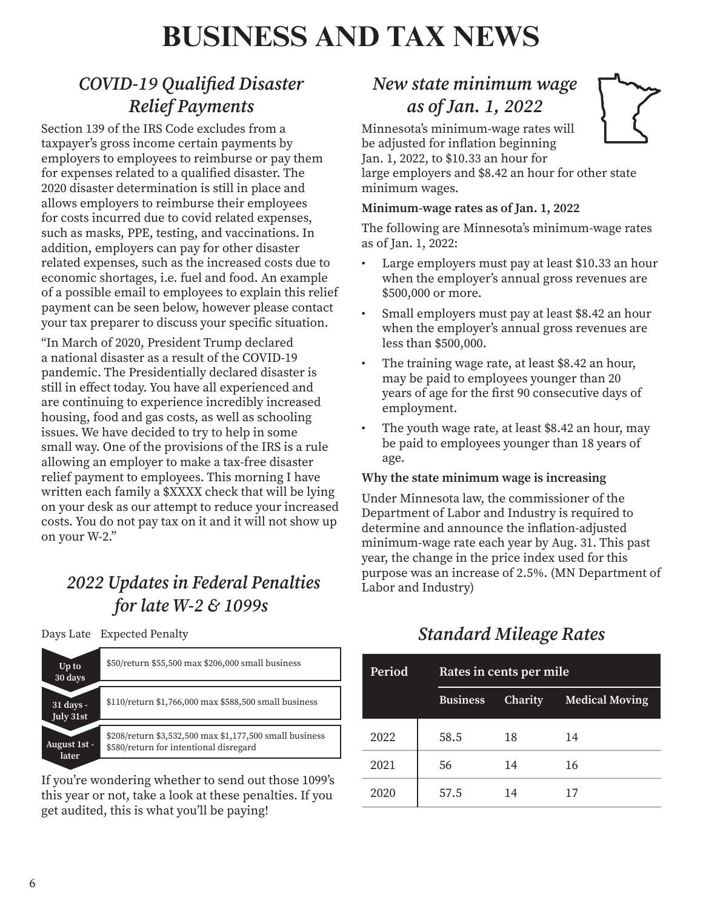## **BUSINESS AND TAX NEWS**

## *COVID-19 Qualified Disaster Relief Payments*

Section 139 of the IRS Code excludes from a taxpayer's gross income certain payments by employers to employees to reimburse or pay them for expenses related to a qualified disaster. The 2020 disaster determination is still in place and allows employers to reimburse their employees for costs incurred due to covid related expenses, such as masks, PPE, testing, and vaccinations. In addition, employers can pay for other disaster related expenses, such as the increased costs due to economic shortages, i.e. fuel and food. An example of a possible email to employees to explain this relief payment can be seen below, however please contact your tax preparer to discuss your specific situation.

"In March of 2020, President Trump declared a national disaster as a result of the COVID-19 pandemic. The Presidentially declared disaster is still in effect today. You have all experienced and are continuing to experience incredibly increased housing, food and gas costs, as well as schooling issues. We have decided to try to help in some small way. One of the provisions of the IRS is a rule allowing an employer to make a tax-free disaster relief payment to employees. This morning I have written each family a \$XXXX check that will be lying on your desk as our attempt to reduce your increased costs. You do not pay tax on it and it will not show up on your W-2."

### *2022 Updates in Federal Penalties for late W-2 & 1099s*

Days Late Expected Penalty

| Up to<br>30 days       | \$50/return \$55,500 max \$206,000 small business                                                 |
|------------------------|---------------------------------------------------------------------------------------------------|
|                        |                                                                                                   |
| 31 days -<br>July 31st | \$110/return \$1,766,000 max \$588,500 small business                                             |
|                        |                                                                                                   |
| August 1st -<br>later  | \$208/return \$3,532,500 max \$1,177,500 small business<br>\$580/return for intentional disregard |

If you're wondering whether to send out those 1099's this year or not, take a look at these penalties. If you get audited, this is what you'll be paying!

### *New state minimum wage as of Jan. 1, 2022*

Minnesota's minimum-wage rates will be adjusted for inflation beginning Jan. 1, 2022, to \$10.33 an hour for large employers and \$8.42 an hour for other state



minimum wages.

**Minimum-wage rates as of Jan. 1, 2022**

The following are Minnesota's minimum-wage rates as of Jan. 1, 2022:

- Large employers must pay at least \$10.33 an hour when the employer's annual gross revenues are \$500,000 or more.
- Small employers must pay at least \$8.42 an hour when the employer's annual gross revenues are less than \$500,000.
- The training wage rate, at least \$8.42 an hour, may be paid to employees younger than 20 years of age for the first 90 consecutive days of employment.
- The youth wage rate, at least \$8.42 an hour, may be paid to employees younger than 18 years of age.

#### **Why the state minimum wage is increasing**

Under Minnesota law, the commissioner of the Department of Labor and Industry is required to determine and announce the inflation-adjusted minimum-wage rate each year by Aug. 31. This past year, the change in the price index used for this purpose was an increase of 2.5%. (MN Department of Labor and Industry)

## **Period Rates in cents per mile Business Charity Medical Moving** 2022 58.5 18 14 2021 56 14 16 2020 57.5 14 17

### **Standard Mileage Rates**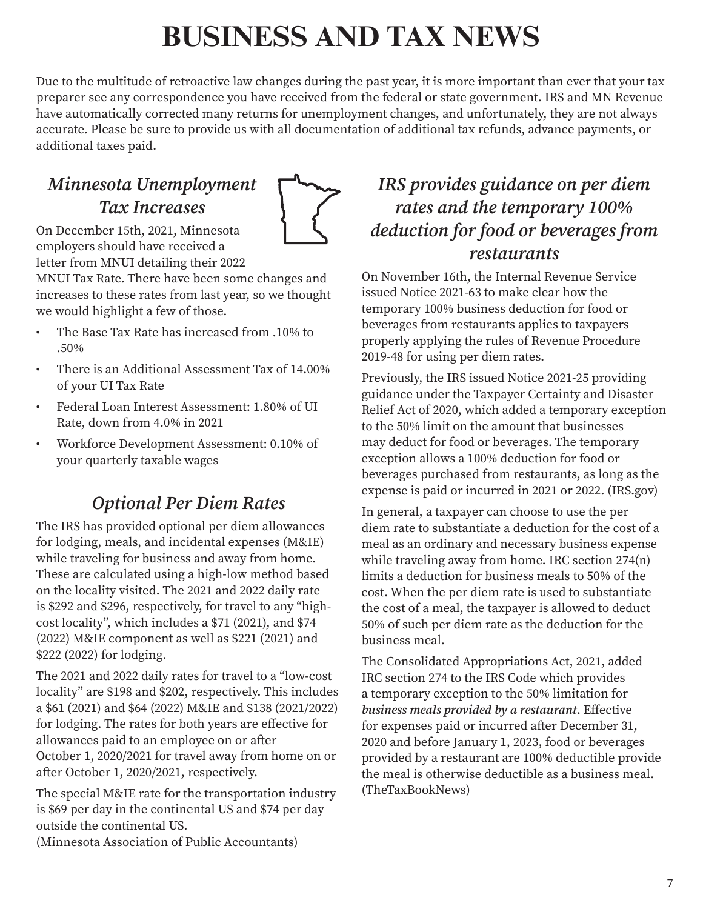## **BUSINESS AND TAX NEWS**

Due to the multitude of retroactive law changes during the past year, it is more important than ever that your tax preparer see any correspondence you have received from the federal or state government. IRS and MN Revenue have automatically corrected many returns for unemployment changes, and unfortunately, they are not always accurate. Please be sure to provide us with all documentation of additional tax refunds, advance payments, or additional taxes paid.

### *Minnesota Unemployment Tax Increases*



On December 15th, 2021, Minnesota employers should have received a letter from MNUI detailing their 2022

MNUI Tax Rate. There have been some changes and increases to these rates from last year, so we thought we would highlight a few of those.

- The Base Tax Rate has increased from .10% to .50%
- There is an Additional Assessment Tax of 14.00% of your UI Tax Rate
- Federal Loan Interest Assessment: 1.80% of UI Rate, down from 4.0% in 2021
- Workforce Development Assessment: 0.10% of your quarterly taxable wages

### *Optional Per Diem Rates*

The IRS has provided optional per diem allowances for lodging, meals, and incidental expenses (M&IE) while traveling for business and away from home. These are calculated using a high-low method based on the locality visited. The 2021 and 2022 daily rate is \$292 and \$296, respectively, for travel to any "highcost locality", which includes a \$71 (2021), and \$74 (2022) M&IE component as well as \$221 (2021) and \$222 (2022) for lodging.

The 2021 and 2022 daily rates for travel to a "low-cost locality" are \$198 and \$202, respectively. This includes a \$61 (2021) and \$64 (2022) M&IE and \$138 (2021/2022) for lodging. The rates for both years are effective for allowances paid to an employee on or after October 1, 2020/2021 for travel away from home on or after October 1, 2020/2021, respectively.

The special M&IE rate for the transportation industry is \$69 per day in the continental US and \$74 per day outside the continental US.

### *IRS provides guidance on per diem rates and the temporary 100% deduction for food or beverages from restaurants*

On November 16th, the Internal Revenue Service issued Notice 2021-63 to make clear how the temporary 100% business deduction for food or beverages from restaurants applies to taxpayers properly applying the rules of Revenue Procedure 2019-48 for using per diem rates.

Previously, the IRS issued Notice 2021-25 providing guidance under the Taxpayer Certainty and Disaster Relief Act of 2020, which added a temporary exception to the 50% limit on the amount that businesses may deduct for food or beverages. The temporary exception allows a 100% deduction for food or beverages purchased from restaurants, as long as the expense is paid or incurred in 2021 or 2022. (IRS.gov)

In general, a taxpayer can choose to use the per diem rate to substantiate a deduction for the cost of a meal as an ordinary and necessary business expense while traveling away from home. IRC section 274(n) limits a deduction for business meals to 50% of the cost. When the per diem rate is used to substantiate the cost of a meal, the taxpayer is allowed to deduct 50% of such per diem rate as the deduction for the business meal.

The Consolidated Appropriations Act, 2021, added IRC section 274 to the IRS Code which provides a temporary exception to the 50% limitation for *business meals provided by a restaurant*. Effective for expenses paid or incurred after December 31, 2020 and before January 1, 2023, food or beverages provided by a restaurant are 100% deductible provide the meal is otherwise deductible as a business meal. (TheTaxBookNews)

(Minnesota Association of Public Accountants)